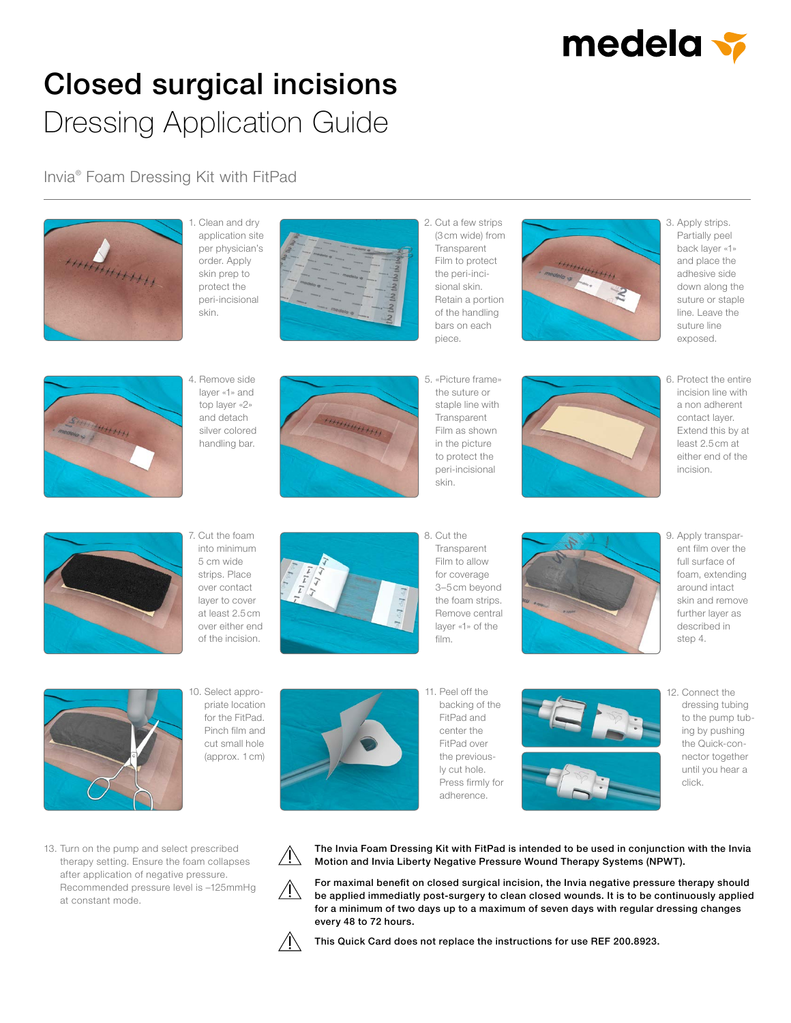

## Closed surgical incisions Dressing Application Guide

Invia® Foam Dressing Kit with FitPad



1. Clean and dry application site per physician's order. Apply skin prep to protect the peri-incisional skin.



2. Cut a few strips (3cm wide) from Transparent Film to protect the peri-incisional skin. Retain a portion of the handling bars on each piece.



3. Apply strips. Partially peel back layer «1» and place the adhesive side down along the suture or staple line. Leave the suture line exposed.



4. Remove side layer «1» and top layer «2» and detach silver colored handling bar.



5. «Picture frame» the suture or staple line with **Transparent** Film as shown in the picture to protect the peri-incisional skin.



6. Protect the entire incision line with a non adherent contact layer. Extend this by at least 2.5cm at either end of the incision.



7. Cut the foam into minimum 5 cm wide strips. Place over contact layer to cover at least 2.5cm over either end of the incision.



8. Cut the Transparent Film to allow for coverage 3–5cm beyond the foam strips. Remove central layer «1» of the film.



9. Apply transparent film over the full surface of foam, extending around intact skin and remove further layer as described in step 4.



10. Select appropriate location for the FitPad. Pinch film and cut small hole (approx. 1cm)



11. Peel off the backing of the FitPad and center the FitPad over the previously cut hole. Press firmly for adherence.

12. Connect the dressing tubing to the pump tubing by pushing the Quick-connector together until you hear a click.



The Invia Foam Dressing Kit with FitPad is intended to be used in conjunction with the Invia Motion and Invia Liberty Negative Pressure Wound Therapy Systems (NPWT).

For maximal benefit on closed surgical incision, the Invia negative pressure therapy should be applied immediatly post-surgery to clean closed wounds. It is to be continuously applied for a minimum of two days up to a maximum of seven days with regular dressing changes every 48 to 72 hours.



This Quick Card does not replace the instructions for use REF 200.8923.